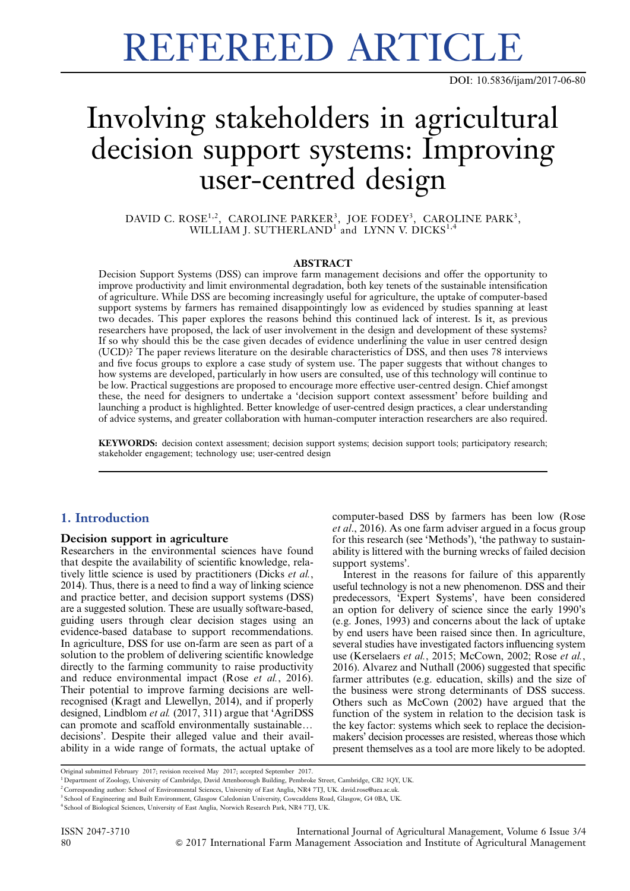# REFEREED ARTICLE

DOI: 10.5836/ijam/2017-06-80

# Involving stakeholders in agricultural decision support systems: Improving user-centred design

DAVID C. ROSE<sup>1,2</sup>, CAROLINE PARKER<sup>3</sup>, JOE FODEY<sup>3</sup>, CAROLINE PARK<sup>3</sup>, WILLIAM J. SUTHERLAND<sup>1</sup> and LYNN V. DICKS<sup>1,4</sup>

#### **ABSTRACT**

Decision Support Systems (DSS) can improve farm management decisions and offer the opportunity to improve productivity and limit environmental degradation, both key tenets of the sustainable intensification of agriculture. While DSS are becoming increasingly useful for agriculture, the uptake of computer-based support systems by farmers has remained disappointingly low as evidenced by studies spanning at least two decades. This paper explores the reasons behind this continued lack of interest. Is it, as previous researchers have proposed, the lack of user involvement in the design and development of these systems? If so why should this be the case given decades of evidence underlining the value in user centred design (UCD)? The paper reviews literature on the desirable characteristics of DSS, and then uses 78 interviews and five focus groups to explore a case study of system use. The paper suggests that without changes to how systems are developed, particularly in how users are consulted, use of this technology will continue to be low. Practical suggestions are proposed to encourage more effective user-centred design. Chief amongst these, the need for designers to undertake a 'decision support context assessment' before building and launching a product is highlighted. Better knowledge of user-centred design practices, a clear understanding of advice systems, and greater collaboration with human-computer interaction researchers are also required.

KEYWORDS: decision context assessment; decision support systems; decision support tools; participatory research; stakeholder engagement; technology use; user-centred design

# 1. Introduction

## Decision support in agriculture

Researchers in the environmental sciences have found that despite the availability of scientific knowledge, relatively little science is used by practitioners (Dicks et al., 2014). Thus, there is a need to find a way of linking science and practice better, and decision support systems (DSS) are a suggested solution. These are usually software-based, guiding users through clear decision stages using an evidence-based database to support recommendations. In agriculture, DSS for use on-farm are seen as part of a solution to the problem of delivering scientific knowledge directly to the farming community to raise productivity and reduce environmental impact (Rose et al., 2016). Their potential to improve farming decisions are wellrecognised (Kragt and Llewellyn, 2014), and if properly designed, Lindblom et al. (2017, 311) argue that 'AgriDSS can promote and scaffold environmentally sustainable... decisions'. Despite their alleged value and their availability in a wide range of formats, the actual uptake of computer-based DSS by farmers has been low (Rose et al., 2016). As one farm adviser argued in a focus group for this research (see 'Methods'), 'the pathway to sustainability is littered with the burning wrecks of failed decision support systems'.

Interest in the reasons for failure of this apparently useful technology is not a new phenomenon. DSS and their predecessors, 'Expert Systems', have been considered an option for delivery of science since the early 1990's (e.g. Jones, 1993) and concerns about the lack of uptake by end users have been raised since then. In agriculture, several studies have investigated factors influencing system use (Kerselaers et al., 2015; McCown, 2002; Rose et al., 2016). Alvarez and Nuthall (2006) suggested that specific farmer attributes (e.g. education, skills) and the size of the business were strong determinants of DSS success. Others such as McCown (2002) have argued that the function of the system in relation to the decision task is the key factor: systems which seek to replace the decisionmakers' decision processes are resisted, whereas those which present themselves as a tool are more likely to be adopted.

Original submitted February 2017; revision received May 2017; accepted September 2017.

<sup>&</sup>lt;sup>1</sup> Department of Zoology, University of Cambridge, David Attenborough Building, Pembroke Street, Cambridge, CB2 3QY, UK.

<sup>&</sup>lt;sup>2</sup> Corresponding author: School of Environmental Sciences, University of East Anglia, NR4 7TJ, UK. david.rose@uea.ac.uk

<sup>&</sup>lt;sup>3</sup> School of Engineering and Built Environment, Glasgow Caledonian University, Cowcaddens Road, Glasgow, G4 0BA, UK.

<sup>4</sup> School of Biological Sciences, University of East Anglia, Norwich Research Park, NR4 7TJ, UK.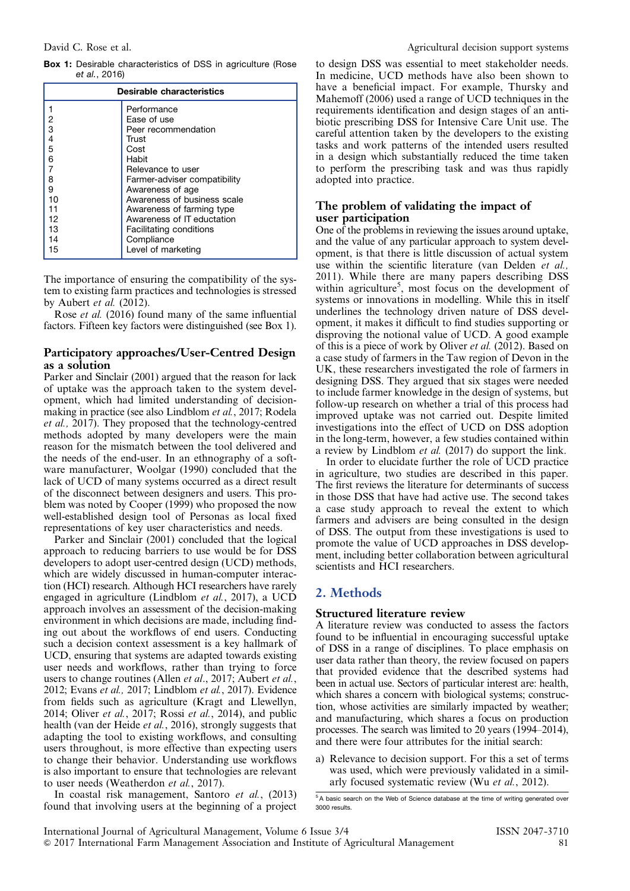<span id="page-1-0"></span>Box 1: Desirable characteristics of DSS in agriculture (Rose et al., 2016)

| Desirable characteristics |                                |  |
|---------------------------|--------------------------------|--|
|                           | Performance                    |  |
| 2                         | Ease of use                    |  |
| 3                         | Peer recommendation            |  |
| 4                         | Trust                          |  |
| 5                         | Cost                           |  |
| 6                         | Habit                          |  |
|                           | Relevance to user              |  |
| 8                         | Farmer-adviser compatibility   |  |
| 9                         | Awareness of age               |  |
| 10                        | Awareness of business scale    |  |
| 11                        | Awareness of farming type      |  |
| 12                        | Awareness of IT eductation     |  |
| 13                        | <b>Facilitating conditions</b> |  |
| 14                        | Compliance                     |  |
| 15                        | Level of marketing             |  |

The importance of ensuring the compatibility of the system to existing farm practices and technologies is stressed by Aubert et al. (2012).

Rose et al. (2016) found many of the same influential factors. Fifteen key factors were distinguished (see Box 1).

## Participatory approaches/User-Centred Design as a solution

Parker and Sinclair (2001) argued that the reason for lack of uptake was the approach taken to the system development, which had limited understanding of decisionmaking in practice (see also Lindblom et al., 2017; Rodela et al., 2017). They proposed that the technology-centred methods adopted by many developers were the main reason for the mismatch between the tool delivered and the needs of the end-user. In an ethnography of a software manufacturer, Woolgar (1990) concluded that the lack of UCD of many systems occurred as a direct result of the disconnect between designers and users. This problem was noted by Cooper (1999) who proposed the now well-established design tool of Personas as local fixed representations of key user characteristics and needs.

Parker and Sinclair (2001) concluded that the logical approach to reducing barriers to use would be for DSS developers to adopt user-centred design (UCD) methods, which are widely discussed in human-computer interaction (HCI) research. Although HCI researchers have rarely engaged in agriculture (Lindblom et al., 2017), a UCD approach involves an assessment of the decision-making environment in which decisions are made, including finding out about the workflows of end users. Conducting such a decision context assessment is a key hallmark of UCD, ensuring that systems are adapted towards existing user needs and workflows, rather than trying to force users to change routines (Allen *et al.*, 2017; Aubert *et al.*, 2012; Evans et al., 2017; Lindblom et al., 2017). Evidence from fields such as agriculture (Kragt and Llewellyn, 2014; Oliver et al., 2017; Rossi et al., 2014), and public health (van der Heide et al., 2016), strongly suggests that adapting the tool to existing workflows, and consulting users throughout, is more effective than expecting users to change their behavior. Understanding use workflows is also important to ensure that technologies are relevant to user needs (Weatherdon et al., 2017).

In coastal risk management, Santoro et al., (2013) found that involving users at the beginning of a project to design DSS was essential to meet stakeholder needs. In medicine, UCD methods have also been shown to have a beneficial impact. For example, Thursky and Mahemoff (2006) used a range of UCD techniques in the requirements identification and design stages of an antibiotic prescribing DSS for Intensive Care Unit use. The careful attention taken by the developers to the existing tasks and work patterns of the intended users resulted in a design which substantially reduced the time taken to perform the prescribing task and was thus rapidly adopted into practice.

# The problem of validating the impact of user participation

One of the problems in reviewing the issues around uptake, and the value of any particular approach to system development, is that there is little discussion of actual system use within the scientific literature (van Delden et al., 2011). While there are many papers describing DSS within agriculture<sup>5</sup>, most focus on the development of systems or innovations in modelling. While this in itself underlines the technology driven nature of DSS development, it makes it difficult to find studies supporting or disproving the notional value of UCD. A good example of this is a piece of work by Oliver et al. (2012). Based on a case study of farmers in the Taw region of Devon in the UK, these researchers investigated the role of farmers in designing DSS. They argued that six stages were needed to include farmer knowledge in the design of systems, but follow-up research on whether a trial of this process had improved uptake was not carried out. Despite limited investigations into the effect of UCD on DSS adoption in the long-term, however, a few studies contained within a review by Lindblom et al. (2017) do support the link.

In order to elucidate further the role of UCD practice in agriculture, two studies are described in this paper. The first reviews the literature for determinants of success in those DSS that have had active use. The second takes a case study approach to reveal the extent to which farmers and advisers are being consulted in the design of DSS. The output from these investigations is used to promote the value of UCD approaches in DSS development, including better collaboration between agricultural scientists and HCI researchers.

# 2. Methods

# Structured literature review

A literature review was conducted to assess the factors found to be influential in encouraging successful uptake of DSS in a range of disciplines. To place emphasis on user data rather than theory, the review focused on papers that provided evidence that the described systems had been in actual use. Sectors of particular interest are: health, which shares a concern with biological systems; construction, whose activities are similarly impacted by weather; and manufacturing, which shares a focus on production processes. The search was limited to 20 years (1994–2014), and there were four attributes for the initial search:

a) Relevance to decision support. For this a set of terms was used, which were previously validated in a similarly focused systematic review (Wu et al., 2012).

<sup>5</sup>A basic search on the Web of Science database at the time of writing generated over 3000 results.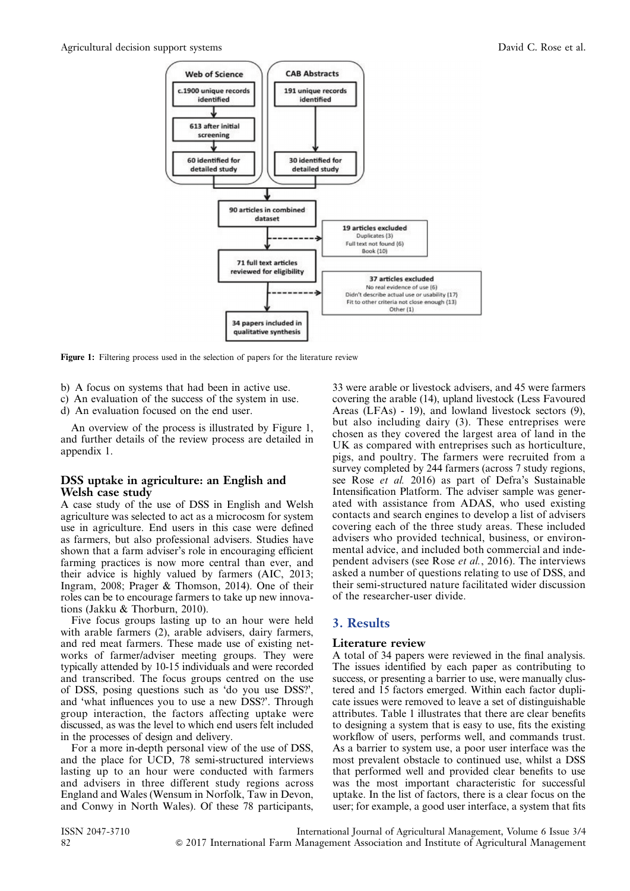

Figure 1: Filtering process used in the selection of papers for the literature review

- b) A focus on systems that had been in active use.
- c) An evaluation of the success of the system in use.
- d) An evaluation focused on the end user.

An overview of the process is illustrated by Figure 1, and further details of the review process are detailed in appendix 1.

# DSS uptake in agriculture: an English and Welsh case study

A case study of the use of DSS in English and Welsh agriculture was selected to act as a microcosm for system use in agriculture. End users in this case were defined as farmers, but also professional advisers. Studies have shown that a farm adviser's role in encouraging efficient farming practices is now more central than ever, and their advice is highly valued by farmers (AIC, 2013; Ingram, 2008; Prager & Thomson, 2014). One of their roles can be to encourage farmers to take up new innovations (Jakku & Thorburn, 2010).

Five focus groups lasting up to an hour were held with arable farmers (2), arable advisers, dairy farmers, and red meat farmers. These made use of existing networks of farmer/adviser meeting groups. They were typically attended by 10-15 individuals and were recorded and transcribed. The focus groups centred on the use of DSS, posing questions such as 'do you use DSS?', and 'what influences you to use a new DSS?'. Through group interaction, the factors affecting uptake were discussed, as was the level to which end users felt included in the processes of design and delivery.

For a more in-depth personal view of the use of DSS, and the place for UCD, 78 semi-structured interviews lasting up to an hour were conducted with farmers and advisers in three different study regions across England and Wales (Wensum in Norfolk, Taw in Devon, and Conwy in North Wales). Of these 78 participants,

33 were arable or livestock advisers, and 45 were farmers covering the arable (14), upland livestock (Less Favoured Areas (LFAs) - 19), and lowland livestock sectors (9), but also including dairy (3). These entreprises were chosen as they covered the largest area of land in the UK as compared with entreprises such as horticulture, pigs, and poultry. The farmers were recruited from a survey completed by 244 farmers (across 7 study regions, see Rose et al. 2016) as part of Defra's Sustainable Intensification Platform. The adviser sample was generated with assistance from ADAS, who used existing contacts and search engines to develop a list of advisers covering each of the three study areas. These included advisers who provided technical, business, or environmental advice, and included both commercial and independent advisers (see Rose et al., 2016). The interviews asked a number of questions relating to use of DSS, and their semi-structured nature facilitated wider discussion of the researcher-user divide.

# 3. Results

# Literature review

A total of 34 papers were reviewed in the final analysis. The issues identified by each paper as contributing to success, or presenting a barrier to use, were manually clustered and 15 factors emerged. Within each factor duplicate issues were removed to leave a set of distinguishable attributes. [Table 1](#page-3-0) illustrates that there are clear benefits to designing a system that is easy to use, fits the existing workflow of users, performs well, and commands trust. As a barrier to system use, a poor user interface was the most prevalent obstacle to continued use, whilst a DSS that performed well and provided clear benefits to use was the most important characteristic for successful uptake. In the list of factors, there is a clear focus on the user; for example, a good user interface, a system that fits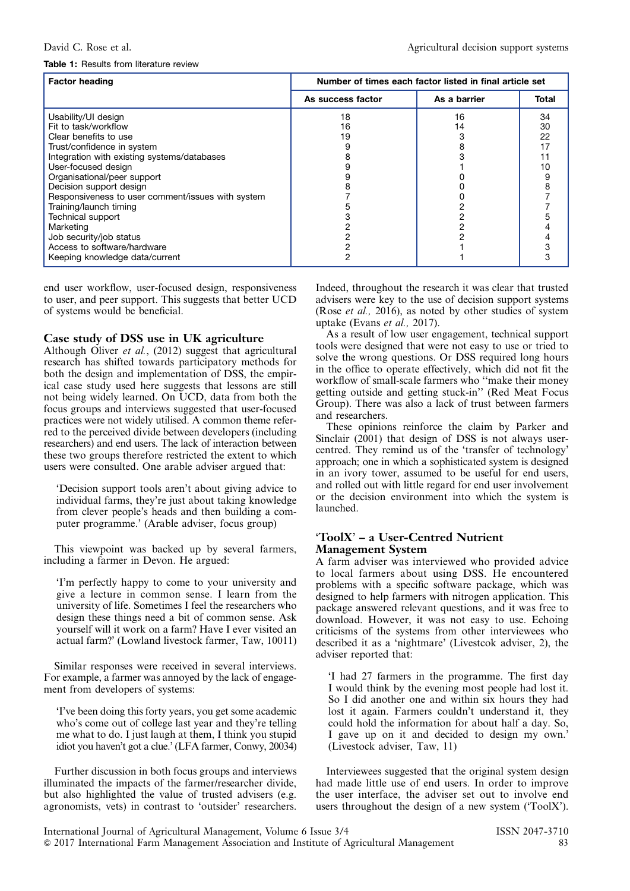#### <span id="page-3-0"></span>Table 1: Results from literature review

| <b>Factor heading</b>                             | Number of times each factor listed in final article set |              |       |
|---------------------------------------------------|---------------------------------------------------------|--------------|-------|
|                                                   | As success factor                                       | As a barrier | Total |
| Usability/UI design                               | 18                                                      | 16           | 34    |
| Fit to task/workflow                              | 16                                                      | 14           | 30    |
| Clear benefits to use                             | 19                                                      |              | 22    |
| Trust/confidence in system                        |                                                         |              | 17    |
| Integration with existing systems/databases       |                                                         |              |       |
| User-focused design                               |                                                         |              | 10    |
| Organisational/peer support                       |                                                         |              |       |
| Decision support design                           |                                                         |              | 8     |
| Responsiveness to user comment/issues with system |                                                         |              |       |
| Training/launch timing                            |                                                         |              |       |
| <b>Technical support</b>                          |                                                         |              |       |
| Marketing                                         |                                                         |              |       |
| Job security/job status                           |                                                         |              |       |
| Access to software/hardware                       |                                                         |              |       |
| Keeping knowledge data/current                    |                                                         |              |       |

end user workflow, user-focused design, responsiveness to user, and peer support. This suggests that better UCD of systems would be beneficial.

## Case study of DSS use in UK agriculture

Although Oliver et al., (2012) suggest that agricultural research has shifted towards participatory methods for both the design and implementation of DSS, the empirical case study used here suggests that lessons are still not being widely learned. On UCD, data from both the focus groups and interviews suggested that user-focused practices were not widely utilised. A common theme referred to the perceived divide between developers (including researchers) and end users. The lack of interaction between these two groups therefore restricted the extent to which users were consulted. One arable adviser argued that:

'Decision support tools aren't about giving advice to individual farms, they're just about taking knowledge from clever people's heads and then building a computer programme.' (Arable adviser, focus group)

This viewpoint was backed up by several farmers, including a farmer in Devon. He argued:

'I'm perfectly happy to come to your university and give a lecture in common sense. I learn from the university of life. Sometimes I feel the researchers who design these things need a bit of common sense. Ask yourself will it work on a farm? Have I ever visited an actual farm?' (Lowland livestock farmer, Taw, 10011)

Similar responses were received in several interviews. For example, a farmer was annoyed by the lack of engagement from developers of systems:

'I've been doing this forty years, you get some academic who's come out of college last year and they're telling me what to do. I just laugh at them, I think you stupid idiot you haven't got a clue.' (LFA farmer, Conwy, 20034)

Further discussion in both focus groups and interviews illuminated the impacts of the farmer/researcher divide, but also highlighted the value of trusted advisers (e.g. agronomists, vets) in contrast to 'outsider' researchers.

Indeed, throughout the research it was clear that trusted advisers were key to the use of decision support systems (Rose et al., 2016), as noted by other studies of system uptake (Evans et al., 2017).

As a result of low user engagement, technical support tools were designed that were not easy to use or tried to solve the wrong questions. Or DSS required long hours in the office to operate effectively, which did not fit the workflow of small-scale farmers who ''make their money getting outside and getting stuck-in'' (Red Meat Focus Group). There was also a lack of trust between farmers and researchers.

These opinions reinforce the claim by Parker and Sinclair (2001) that design of DSS is not always usercentred. They remind us of the 'transfer of technology' approach; one in which a sophisticated system is designed in an ivory tower, assumed to be useful for end users, and rolled out with little regard for end user involvement or the decision environment into which the system is launched.

# 'ToolX' – a User-Centred Nutrient Management System

A farm adviser was interviewed who provided advice to local farmers about using DSS. He encountered problems with a specific software package, which was designed to help farmers with nitrogen application. This package answered relevant questions, and it was free to download. However, it was not easy to use. Echoing criticisms of the systems from other interviewees who described it as a 'nightmare' (Livestcok adviser, 2), the adviser reported that:

'I had 27 farmers in the programme. The first day I would think by the evening most people had lost it. So I did another one and within six hours they had lost it again. Farmers couldn't understand it, they could hold the information for about half a day. So, I gave up on it and decided to design my own.' (Livestock adviser, Taw, 11)

Interviewees suggested that the original system design had made little use of end users. In order to improve the user interface, the adviser set out to involve end users throughout the design of a new system ('ToolX').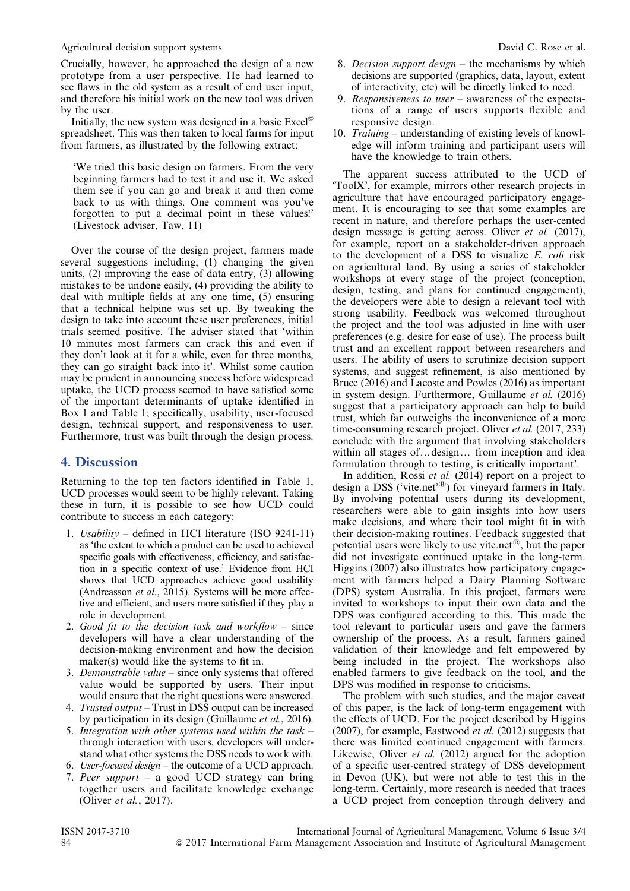Agricultural decision support systems  $\Box$  David C. Rose et al.

Crucially, however, he approached the design of a new prototype from a user perspective. He had learned to see flaws in the old system as a result of end user input, and therefore his initial work on the new tool was driven by the user.

Initially, the new system was designed in a basic  $\text{Excel}^{\odot}$ spreadsheet. This was then taken to local farms for input from farmers, as illustrated by the following extract:

'We tried this basic design on farmers. From the very beginning farmers had to test it and use it. We asked them see if you can go and break it and then come back to us with things. One comment was you've forgotten to put a decimal point in these values!' (Livestock adviser, Taw, 11)

Over the course of the design project, farmers made several suggestions including, (1) changing the given units, (2) improving the ease of data entry, (3) allowing mistakes to be undone easily, (4) providing the ability to deal with multiple fields at any one time, (5) ensuring that a technical helpine was set up. By tweaking the design to take into account these user preferences, initial trials seemed positive. The adviser stated that 'within 10 minutes most farmers can crack this and even if they don't look at it for a while, even for three months, they can go straight back into it'. Whilst some caution may be prudent in announcing success before widespread uptake, the UCD process seemed to have satisfied some of the important determinants of uptake identified in [Box 1](#page-1-0) and [Table 1;](#page-3-0) specifically, usability, user-focused design, technical support, and responsiveness to user. Furthermore, trust was built through the design process.

# 4. Discussion

Returning to the top ten factors identified in [Table 1,](#page-3-0) UCD processes would seem to be highly relevant. Taking these in turn, it is possible to see how UCD could contribute to success in each category:

- 1. Usability defined in HCI literature (ISO 9241-11) as 'the extent to which a product can be used to achieved specific goals with effectiveness, efficiency, and satisfaction in a specific context of use.' Evidence from HCI shows that UCD approaches achieve good usability (Andreasson et al., 2015). Systems will be more effective and efficient, and users more satisfied if they play a role in development.
- 2. Good fit to the decision task and workflow since developers will have a clear understanding of the decision-making environment and how the decision maker(s) would like the systems to fit in.
- 3. Demonstrable value since only systems that offered value would be supported by users. Their input would ensure that the right questions were answered.
- 4. Trusted output Trust in DSS output can be increased by participation in its design (Guillaume et al., 2016).
- 5. Integration with other systems used within the task  $$ through interaction with users, developers will understand what other systems the DSS needs to work with.
- 6. User-focused design the outcome of a UCD approach.
- 7. Peer support a good UCD strategy can bring together users and facilitate knowledge exchange (Oliver et al., 2017).
- 8. Decision support design the mechanisms by which decisions are supported (graphics, data, layout, extent of interactivity, etc) will be directly linked to need.
- 9. Responsiveness to user awareness of the expectations of a range of users supports flexible and responsive design.
- 10. Training understanding of existing levels of knowledge will inform training and participant users will have the knowledge to train others.

The apparent success attributed to the UCD of 'ToolX', for example, mirrors other research projects in agriculture that have encouraged participatory engagement. It is encouraging to see that some examples are recent in nature, and therefore perhaps the user-cented design message is getting across. Oliver et al. (2017), for example, report on a stakeholder-driven approach to the development of a DSS to visualize  $E$ . *coli* risk on agricultural land. By using a series of stakeholder workshops at every stage of the project (conception, design, testing, and plans for continued engagement), the developers were able to design a relevant tool with strong usability. Feedback was welcomed throughout the project and the tool was adjusted in line with user preferences (e.g. desire for ease of use). The process built trust and an excellent rapport between researchers and users. The ability of users to scrutinize decision support systems, and suggest refinement, is also mentioned by Bruce (2016) and Lacoste and Powles (2016) as important in system design. Furthermore, Guillaume et al. (2016) suggest that a participatory approach can help to build trust, which far outweighs the inconvenience of a more time-consuming research project. Oliver *et al.* (2017, 233) conclude with the argument that involving stakeholders within all stages of...design... from inception and idea formulation through to testing, is critically important'.

In addition, Rossi et al. (2014) report on a project to design a DSS ('vite.net'<sup>®</sup>) for vineyard farmers in Italy. By involving potential users during its development, researchers were able to gain insights into how users make decisions, and where their tool might fit in with their decision-making routines. Feedback suggested that potential users were likely to use vite.net<sup>®</sup>, but the paper did not investigate continued uptake in the long-term. Higgins (2007) also illustrates how participatory engagement with farmers helped a Dairy Planning Software (DPS) system Australia. In this project, farmers were invited to workshops to input their own data and the DPS was configured according to this. This made the tool relevant to particular users and gave the farmers ownership of the process. As a result, farmers gained validation of their knowledge and felt empowered by being included in the project. The workshops also enabled farmers to give feedback on the tool, and the DPS was modified in response to criticisms.

The problem with such studies, and the major caveat of this paper, is the lack of long-term engagement with the effects of UCD. For the project described by Higgins (2007), for example, Eastwood et al. (2012) suggests that there was limited continued engagement with farmers. Likewise, Oliver et al. (2012) argued for the adoption of a specific user-centred strategy of DSS development in Devon (UK), but were not able to test this in the long-term. Certainly, more research is needed that traces a UCD project from conception through delivery and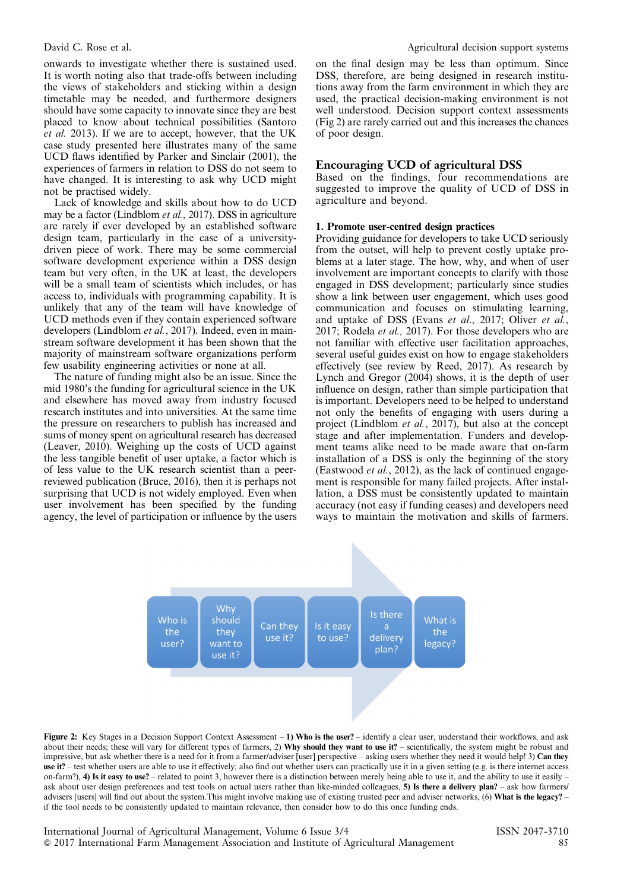<span id="page-5-0"></span>onwards to investigate whether there is sustained used. It is worth noting also that trade-offs between including the views of stakeholders and sticking within a design timetable may be needed, and furthermore designers should have some capacity to innovate since they are best placed to know about technical possibilities (Santoro et al. 2013). If we are to accept, however, that the UK case study presented here illustrates many of the same UCD flaws identified by Parker and Sinclair (2001), the experiences of farmers in relation to DSS do not seem to have changed. It is interesting to ask why UCD might not be practised widely.

Lack of knowledge and skills about how to do UCD may be a factor (Lindblom et al., 2017). DSS in agriculture are rarely if ever developed by an established software design team, particularly in the case of a universitydriven piece of work. There may be some commercial software development experience within a DSS design team but very often, in the UK at least, the developers will be a small team of scientists which includes, or has access to, individuals with programming capability. It is unlikely that any of the team will have knowledge of UCD methods even if they contain experienced software developers (Lindblom et al., 2017). Indeed, even in mainstream software development it has been shown that the majority of mainstream software organizations perform few usability engineering activities or none at all.

The nature of funding might also be an issue. Since the mid 1980's the funding for agricultural science in the UK and elsewhere has moved away from industry focused research institutes and into universities. At the same time the pressure on researchers to publish has increased and sums of money spent on agricultural research has decreased (Leaver, 2010). Weighing up the costs of UCD against the less tangible benefit of user uptake, a factor which is of less value to the UK research scientist than a peerreviewed publication (Bruce, 2016), then it is perhaps not surprising that UCD is not widely employed. Even when user involvement has been specified by the funding agency, the level of participation or influence by the users on the final design may be less than optimum. Since DSS, therefore, are being designed in research institutions away from the farm environment in which they are used, the practical decision-making environment is not well understood. Decision support context assessments (Fig 2) are rarely carried out and this increases the chances of poor design.

#### Encouraging UCD of agricultural DSS

Based on the findings, four recommendations are suggested to improve the quality of UCD of DSS in agriculture and beyond.

#### 1. Promote user-centred design practices

Providing guidance for developers to take UCD seriously from the outset, will help to prevent costly uptake problems at a later stage. The how, why, and when of user involvement are important concepts to clarify with those engaged in DSS development; particularly since studies show a link between user engagement, which uses good communication and focuses on stimulating learning, and uptake of DSS (Evans et al., 2017; Oliver et al., 2017; Rodela *et al.*, 2017). For those developers who are not familiar with effective user facilitation approaches, several useful guides exist on how to engage stakeholders effectively (see review by Reed, 2017). As research by Lynch and Gregor (2004) shows, it is the depth of user influence on design, rather than simple participation that is important. Developers need to be helped to understand not only the benefits of engaging with users during a project (Lindblom et al., 2017), but also at the concept stage and after implementation. Funders and development teams alike need to be made aware that on-farm installation of a DSS is only the beginning of the story (Eastwood et al., 2012), as the lack of continued engagement is responsible for many failed projects. After installation, a DSS must be consistently updated to maintain accuracy (not easy if funding ceases) and developers need ways to maintain the motivation and skills of farmers.



Figure 2: Key Stages in a Decision Support Context Assessment – 1) Who is the user? – identify a clear user, understand their workflows, and ask about their needs; these will vary for different types of farmers, 2) Why should they want to use it? – scientifically, the system might be robust and impressive, but ask whether there is a need for it from a farmer/adviser [user] perspective – asking users whether they need it would help! 3) Can they use it? – test whether users are able to use it effectively; also find out whether users can practically use it in a given setting (e.g. is there internet access on-farm?), 4) Is it easy to use? – related to point 3, however there is a distinction between merely being able to use it, and the ability to use it easily – ask about user design preferences and test tools on actual users rather than like-minded colleagues, 5) Is there a delivery plan? – ask how farmers/ advisers [users] will find out about the system. This might involve making use of existing trusted peer and adviser networks, (6) What is the legacy? – if the tool needs to be consistently updated to maintain relevance, then consider how to do this once funding ends.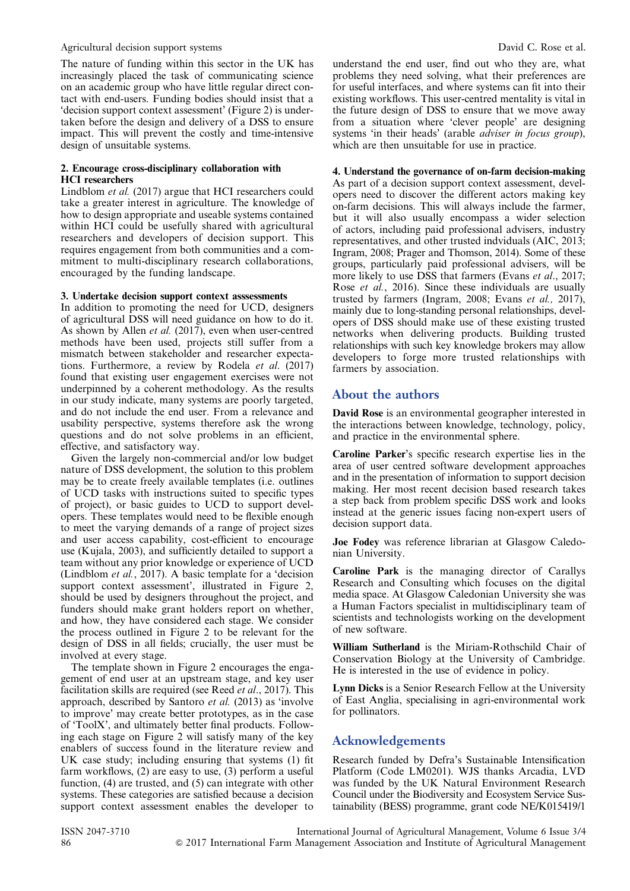#### Agricultural decision support systems  $\Box$  David C. Rose et al.

The nature of funding within this sector in the UK has increasingly placed the task of communicating science on an academic group who have little regular direct contact with end-users. Funding bodies should insist that a 'decision support context assessment' ([Figure 2](#page-5-0)) is undertaken before the design and delivery of a DSS to ensure impact. This will prevent the costly and time-intensive design of unsuitable systems.

#### 2. Encourage cross-disciplinary collaboration with HCI researchers

Lindblom et al. (2017) argue that HCI researchers could take a greater interest in agriculture. The knowledge of how to design appropriate and useable systems contained within HCI could be usefully shared with agricultural researchers and developers of decision support. This requires engagement from both communities and a commitment to multi-disciplinary research collaborations, encouraged by the funding landscape.

#### 3. Undertake decision support context asssessments

In addition to promoting the need for UCD, designers of agricultural DSS will need guidance on how to do it. As shown by Allen *et al.* (2017), even when user-centred methods have been used, projects still suffer from a mismatch between stakeholder and researcher expectations. Furthermore, a review by Rodela *et al.*  $(2017)$ found that existing user engagement exercises were not underpinned by a coherent methodology. As the results in our study indicate, many systems are poorly targeted, and do not include the end user. From a relevance and usability perspective, systems therefore ask the wrong questions and do not solve problems in an efficient, effective, and satisfactory way.

Given the largely non-commercial and/or low budget nature of DSS development, the solution to this problem may be to create freely available templates (i.e. outlines of UCD tasks with instructions suited to specific types of project), or basic guides to UCD to support developers. These templates would need to be flexible enough to meet the varying demands of a range of project sizes and user access capability, cost-efficient to encourage use (Kujala, 2003), and sufficiently detailed to support a team without any prior knowledge or experience of UCD (Lindblom et al., 2017). A basic template for a 'decision support context assessment', illustrated in [Figure 2,](#page-5-0) should be used by designers throughout the project, and funders should make grant holders report on whether, and how, they have considered each stage. We consider the process outlined in [Figure 2](#page-5-0) to be relevant for the design of DSS in all fields; crucially, the user must be involved at every stage.

The template shown in [Figure 2](#page-5-0) encourages the engagement of end user at an upstream stage, and key user facilitation skills are required (see Reed *et al.*, 2017). This approach, described by Santoro et al. (2013) as 'involve to improve' may create better prototypes, as in the case of 'ToolX', and ultimately better final products. Following each stage on [Figure 2](#page-5-0) will satisfy many of the key enablers of success found in the literature review and UK case study; including ensuring that systems (1) fit farm workflows, (2) are easy to use, (3) perform a useful function, (4) are trusted, and (5) can integrate with other systems. These categories are satisfied because a decision support context assessment enables the developer to understand the end user, find out who they are, what problems they need solving, what their preferences are for useful interfaces, and where systems can fit into their existing workflows. This user-centred mentality is vital in the future design of DSS to ensure that we move away from a situation where 'clever people' are designing systems 'in their heads' (arable adviser in focus group), which are then unsuitable for use in practice.

## 4. Understand the governance of on-farm decision-making

As part of a decision support context assessment, developers need to discover the different actors making key on-farm decisions. This will always include the farmer, but it will also usually encompass a wider selection of actors, including paid professional advisers, industry representatives, and other trusted indviduals (AIC, 2013; Ingram, 2008; Prager and Thomson, 2014). Some of these groups, particularly paid professional advisers, will be more likely to use DSS that farmers (Evans *et al.*, 2017; Rose *et al.*, 2016). Since these individuals are usually trusted by farmers (Ingram, 2008; Evans et al., 2017), mainly due to long-standing personal relationships, developers of DSS should make use of these existing trusted networks when delivering products. Building trusted relationships with such key knowledge brokers may allow developers to forge more trusted relationships with farmers by association.

# About the authors

David Rose is an environmental geographer interested in the interactions between knowledge, technology, policy, and practice in the environmental sphere.

Caroline Parker's specific research expertise lies in the area of user centred software development approaches and in the presentation of information to support decision making. Her most recent decision based research takes a step back from problem specific DSS work and looks instead at the generic issues facing non-expert users of decision support data.

Joe Fodey was reference librarian at Glasgow Caledonian University.

Caroline Park is the managing director of Carallys Research and Consulting which focuses on the digital media space. At Glasgow Caledonian University she was a Human Factors specialist in multidisciplinary team of scientists and technologists working on the development of new software.

William Sutherland is the Miriam-Rothschild Chair of Conservation Biology at the University of Cambridge. He is interested in the use of evidence in policy.

Lynn Dicks is a Senior Research Fellow at the University of East Anglia, specialising in agri-environmental work for pollinators.

# Acknowledgements

Research funded by Defra's Sustainable Intensification Platform (Code LM0201). WJS thanks Arcadia, LVD was funded by the UK Natural Environment Research Council under the Biodiversity and Ecosystem Service Sustainability (BESS) programme, grant code NE/K015419/1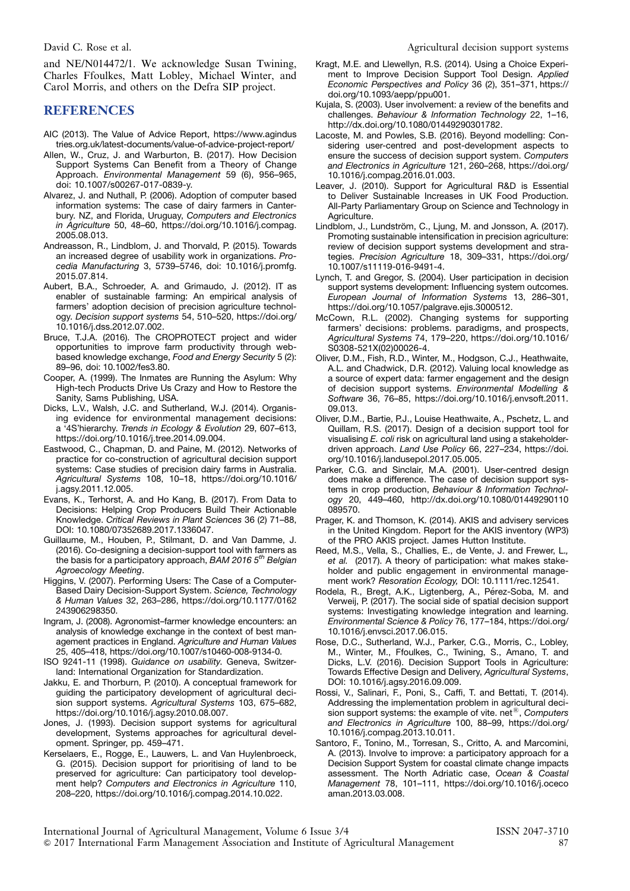and NE/N014472/1. We acknowledge Susan Twining, Charles Ffoulkes, Matt Lobley, Michael Winter, and Carol Morris, and others on the Defra SIP project.

# REFERENCES

- AIC (2013). The Value of Advice Report, [https://www.agindus](https://www.agindustries.org.uk/latest-documents/value-of-advice-project-report/) [tries.org.uk/latest-documents/value-of-advice-project-report/](https://www.agindustries.org.uk/latest-documents/value-of-advice-project-report/)
- Allen, W., Cruz, J. and Warburton, B. (2017). How Decision Support Systems Can Benefit from a Theory of Change Approach. Environmental Management 59 (6), 956–965, doi: [10.1007/s00267-017-0839-y.](http://dx.doi.org/10.1007/s00267-017-0839-y)
- Alvarez, J. and Nuthall, P. (2006). Adoption of computer based information systems: The case of dairy farmers in Canterbury. NZ, and Florida, Uruguay, Computers and Electronics in Agriculture 50, 48–60, https://doi.org/10.1016/j.compag. 2005.08.013.
- Andreasson, R., Lindblom, J. and Thorvald, P. (2015). Towards an increased degree of usability work in organizations. Procedia Manufacturing 3, 5739–5746, doi: 10.1016/j.promfg. 2015.07.814.
- Aubert, B.A., Schroeder, A. and Grimaudo, J. (2012). IT as enabler of sustainable farming: An empirical analysis of farmers' adoption decision of precision agriculture technology. Decision support systems 54, 510–520, https://doi.org/ 10.1016/j.dss.2012.07.002.
- Bruce, T.J.A. (2016). The CROPROTECT project and wider opportunities to improve farm productivity through webbased knowledge exchange, Food and Energy Security 5 (2): 89–96, doi: 10.1002/fes3.80.
- Cooper, A. (1999). The Inmates are Running the Asylum: Why High-tech Products Drive Us Crazy and How to Restore the Sanity, Sams Publishing, USA.
- Dicks, L.V., Walsh, J.C. and Sutherland, W.J. (2014). Organising evidence for environmental management decisions: a '4S'hierarchy. Trends in Ecology & Evolution 29, 607–613, https://doi.org/10.1016/j.tree.2014.09.004.
- Eastwood, C., Chapman, D. and Paine, M. (2012). Networks of practice for co-construction of agricultural decision support systems: Case studies of precision dairy farms in Australia. Agricultural Systems 108, 10–18, https://doi.org/10.1016/ j.agsy.2011.12.005.
- Evans, K., Terhorst, A. and Ho Kang, B. (2017). From Data to Decisions: Helping Crop Producers Build Their Actionable Knowledge. Critical Reviews in Plant Sciences 36 (2) 71–88, DOI: 10.1080/07352689.2017.1336047.
- Guillaume, M., Houben, P., Stilmant, D. and Van Damme, J. (2016). Co-designing a decision-support tool with farmers as the basis for a participatory approach, BAM 2016  $5<sup>th</sup>$  Belgian Agroecology Meeting.
- Higgins, V. (2007). Performing Users: The Case of a Computer-Based Dairy Decision-Support System. Science, Technology & Human Values 32, 263–286, https://doi.org/10.1177/0162 243906298350.
- Ingram, J. (2008). Agronomist–farmer knowledge encounters: an analysis of knowledge exchange in the context of best management practices in England. Agriculture and Human Values 25, 405–418, https://doi.org/10.1007/s10460-008-9134-0.
- ISO 9241-11 (1998). Guidance on usability. Geneva, Switzerland: International Organization for Standardization.
- Jakku, E. and Thorburn, P. (2010). A conceptual framework for guiding the participatory development of agricultural decision support systems. Agricultural Systems 103, 675–682, https://doi.org/10.1016/j.agsy.2010.08.007.
- Jones, J. (1993). Decision support systems for agricultural development, Systems approaches for agricultural development. Springer, pp. 459–471.
- Kerselaers, E., Rogge, E., Lauwers, L. and Van Huylenbroeck, G. (2015). Decision support for prioritising of land to be preserved for agriculture: Can participatory tool development help? Computers and Electronics in Agriculture 110, 208–220, https://doi.org/10.1016/j.compag.2014.10.022.
- Kragt, M.E. and Llewellyn, R.S. (2014). Using a Choice Experiment to Improve Decision Support Tool Design. Applied Economic Perspectives and Policy 36 (2), 351–371, https:// doi.org/10.1093/aepp/ppu001.
- Kujala, S. (2003). User involvement: a review of the benefits and challenges. Behaviour & Information Technology 22, 1–16, http://dx.doi.org/10.1080/01449290301782.
- Lacoste, M. and Powles, S.B. (2016). Beyond modelling: Considering user-centred and post-development aspects to ensure the success of decision support system. Computers and Electronics in Agriculture 121, 260–268, https://doi.org/ 10.1016/j.compag.2016.01.003.
- Leaver, J. (2010). Support for Agricultural R&D is Essential to Deliver Sustainable Increases in UK Food Production. All-Party Parliamentary Group on Science and Technology in Agriculture.
- Lindblom, J., Lundström, C., Ljung, M. and Jonsson, A. (2017). Promoting sustainable intensification in precision agriculture: review of decision support systems development and strategies. Precision Agriculture 18, 309–331, https://doi.org/ 10.1007/s11119-016-9491-4.
- Lynch, T. and Gregor, S. (2004). User participation in decision support systems development: Influencing system outcomes. European Journal of Information Systems 13, 286–301, https://doi.org/10.1057/palgrave.ejis.3000512.
- McCown, R.L. (2002). Changing systems for supporting farmers' decisions: problems. paradigms, and prospects, Agricultural Systems 74, 179–220, https://doi.org/10.1016/ S0308-521X(02)00026-4.
- Oliver, D.M., Fish, R.D., Winter, M., Hodgson, C.J., Heathwaite, A.L. and Chadwick, D.R. (2012). Valuing local knowledge as a source of expert data: farmer engagement and the design of decision support systems. Environmental Modelling & Software 36, 76–85, https://doi.org/10.1016/j.envsoft.2011. 09.013.
- Oliver, D.M., Bartie, P.J., Louise Heathwaite, A., Pschetz, L. and Quillam, R.S. (2017). Design of a decision support tool for visualising E. coli risk on agricultural land using a stakeholderdriven approach. Land Use Policy 66, 227–234, https://doi. org/10.1016/j.landusepol.2017.05.005.
- Parker, C.G. and Sinclair, M.A. (2001). User-centred design does make a difference. The case of decision support systems in crop production, Behaviour & Information Technology 20, 449–460, http://dx.doi.org/10.1080/01449290110 089570.
- Prager, K. and Thomson, K. (2014). AKIS and advisery services in the United Kingdom. Report for the AKIS inventory (WP3) of the PRO AKIS project. James Hutton Institute.
- Reed, M.S., Vella, S., Challies, E., de Vente, J. and Frewer, L., et al. (2017). A theory of participation: what makes stakeholder and public engagement in environmental management work? Resoration Ecology, DOI: 10.1111/rec.12541.
- Rodela, R., Bregt, A.K., Ligtenberg, A., Pérez-Soba, M. and Verweij, P. (2017). The social side of spatial decision support systems: Investigating knowledge integration and learning. Environmental Science & Policy 76, 177–184, https://doi.org/ 10.1016/j.envsci.2017.06.015.
- Rose, D.C., Sutherland, W.J., Parker, C.G., Morris, C., Lobley, M., Winter, M., Ffoulkes, C., Twining, S., Amano, T. and Dicks, L.V. (2016). Decision Support Tools in Agriculture: Towards Effective Design and Delivery, Agricultural Systems, DOI: 10.1016/j.agsy.2016.09.009.
- Rossi, V., Salinari, F., Poni, S., Caffi, T. and Bettati, T. (2014). Addressing the implementation problem in agricultural decision support systems: the example of vite. net $^{\circledR}$ , Computers and Electronics in Agriculture 100, 88–99, https://doi.org/ 10.1016/j.compag.2013.10.011.
- Santoro, F., Tonino, M., Torresan, S., Critto, A. and Marcomini, A. (2013). Involve to improve: a participatory approach for a Decision Support System for coastal climate change impacts assessment. The North Adriatic case, Ocean & Coastal Management 78, 101–111, https://doi.org/10.1016/j.oceco aman.2013.03.008.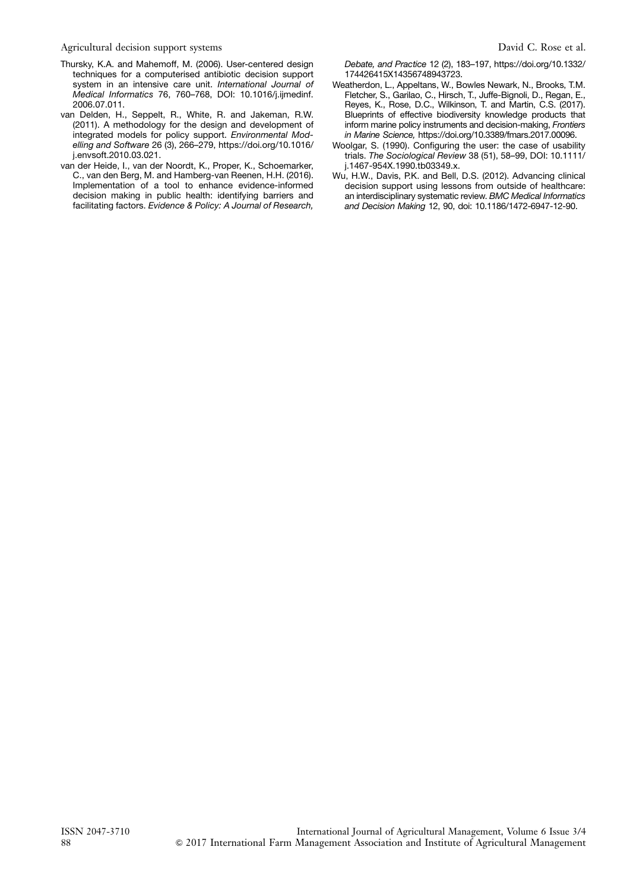Agricultural decision support systems  $\Box$  David C. Rose et al.

- Thursky, K.A. and Mahemoff, M. (2006). User-centered design techniques for a computerised antibiotic decision support system in an intensive care unit. International Journal of Medical Informatics 76, 760–768, DOI: 10.1016/j.ijmedinf. 2006.07.011.
- van Delden, H., Seppelt, R., White, R. and Jakeman, R.W. (2011). A methodology for the design and development of integrated models for policy support. Environmental Modelling and Software 26 (3), 266–279, https://doi.org/10.1016/ j.envsoft.2010.03.021.
- van der Heide, I., van der Noordt, K., Proper, K., Schoemarker, C., van den Berg, M. and Hamberg-van Reenen, H.H. (2016). Implementation of a tool to enhance evidence-informed decision making in public health: identifying barriers and facilitating factors. Evidence & Policy: A Journal of Research,

Debate, and Practice 12 (2), 183–197, https://doi.org/10.1332/ 174426415X14356748943723.

- Weatherdon, L., Appeltans, W., Bowles Newark, N., Brooks, T.M. Fletcher, S., Garilao, C., Hirsch, T., Juffe-Bignoli, D., Regan, E., Reyes, K., Rose, D.C., Wilkinson, T. and Martin, C.S. (2017). Blueprints of effective biodiversity knowledge products that inform marine policy instruments and decision-making, Frontiers in Marine Science, https://doi.org/10.3389/fmars.2017.00096.
- Woolgar, S. (1990). Configuring the user: the case of usability trials. The Sociological Review 38 (51), 58–99, DOI: 10.1111/ j.1467-954X.1990.tb03349.x.
- Wu, H.W., Davis, P.K. and Bell, D.S. (2012). Advancing clinical decision support using lessons from outside of healthcare: an interdisciplinary systematic review. BMC Medical Informatics and Decision Making 12, 90, doi: 10.1186/1472-6947-12-90.